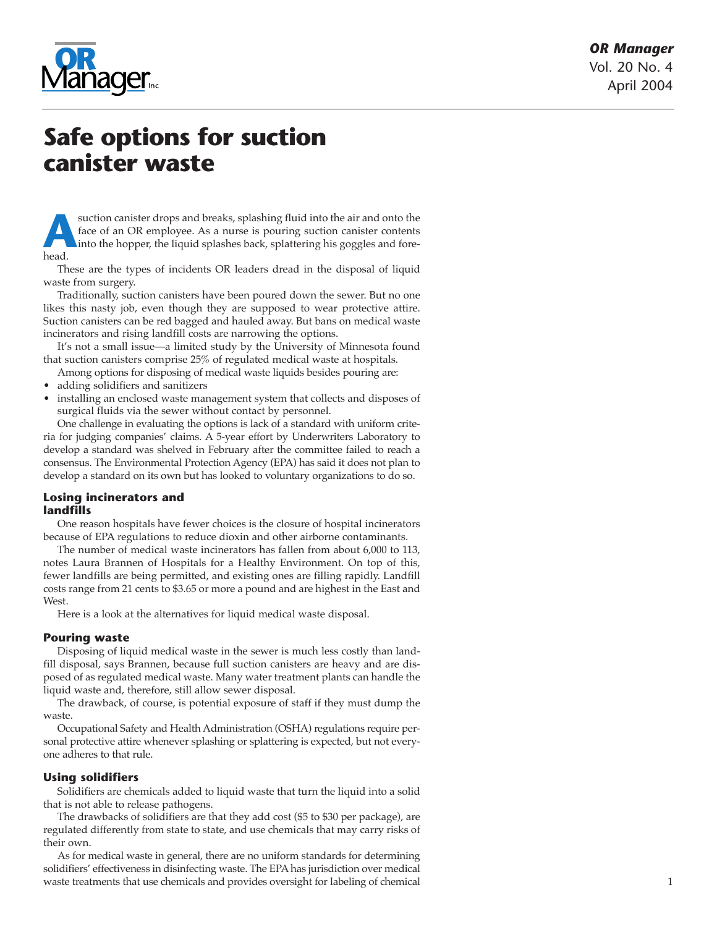

# **Safe options for suction canister waste**

suction canister drops and breaks, splashing fluid into the air and onto the face of an OR employee. As a nurse is pouring suction canister contents into the hopper, the liquid splashes back, splattering his goggles and fo face of an OR employee. As a nurse is pouring suction canister contents head.

These are the types of incidents OR leaders dread in the disposal of liquid waste from surgery.

Traditionally, suction canisters have been poured down the sewer. But no one likes this nasty job, even though they are supposed to wear protective attire. Suction canisters can be red bagged and hauled away. But bans on medical waste incinerators and rising landfill costs are narrowing the options.

It's not a small issue—a limited study by the University of Minnesota found that suction canisters comprise 25% of regulated medical waste at hospitals.

Among options for disposing of medical waste liquids besides pouring are:

- adding solidifiers and sanitizers
- installing an enclosed waste management system that collects and disposes of surgical fluids via the sewer without contact by personnel.

One challenge in evaluating the options is lack of a standard with uniform criteria for judging companies' claims. A 5-year effort by Underwriters Laboratory to develop a standard was shelved in February after the committee failed to reach a consensus. The Environmental Protection Agency (EPA) has said it does not plan to develop a standard on its own but has looked to voluntary organizations to do so.

## **Losing incinerators and landfills**

One reason hospitals have fewer choices is the closure of hospital incinerators because of EPA regulations to reduce dioxin and other airborne contaminants.

The number of medical waste incinerators has fallen from about 6,000 to 113, notes Laura Brannen of Hospitals for a Healthy Environment. On top of this, fewer landfills are being permitted, and existing ones are filling rapidly. Landfill costs range from 21 cents to \$3.65 or more a pound and are highest in the East and West.

Here is a look at the alternatives for liquid medical waste disposal.

## **Pouring waste**

Disposing of liquid medical waste in the sewer is much less costly than landfill disposal, says Brannen, because full suction canisters are heavy and are disposed of as regulated medical waste. Many water treatment plants can handle the liquid waste and, therefore, still allow sewer disposal.

The drawback, of course, is potential exposure of staff if they must dump the waste.

Occupational Safety and Health Administration (OSHA) regulations require personal protective attire whenever splashing or splattering is expected, but not everyone adheres to that rule.

## **Using solidifiers**

Solidifiers are chemicals added to liquid waste that turn the liquid into a solid that is not able to release pathogens.

The drawbacks of solidifiers are that they add cost (\$5 to \$30 per package), are regulated differently from state to state, and use chemicals that may carry risks of their own.

As for medical waste in general, there are no uniform standards for determining solidifiers' effectiveness in disinfecting waste. The EPA has jurisdiction over medical waste treatments that use chemicals and provides oversight for labeling of chemical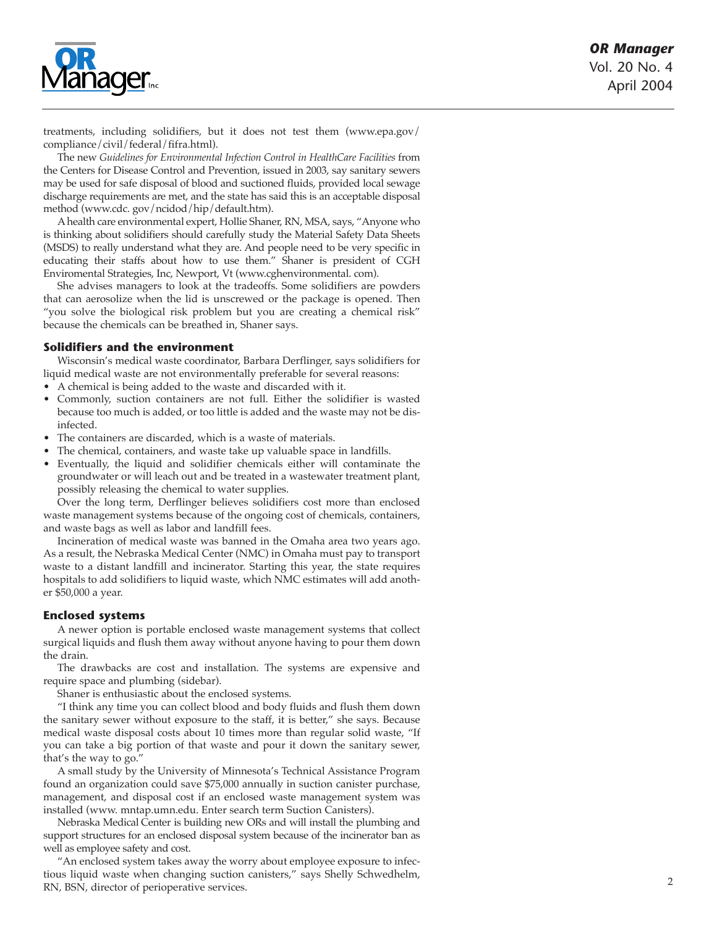

treatments, including solidifiers, but it does not test them (www.epa.gov/ compliance/civil/federal/fifra.html).

The new *Guidelines for Environmental Infection Control in HealthCare Facilities* from the Centers for Disease Control and Prevention, issued in 2003, say sanitary sewers may be used for safe disposal of blood and suctioned fluids, provided local sewage discharge requirements are met, and the state has said this is an acceptable disposal method (www.cdc. gov/ncidod/hip/default.htm).

A health care environmental expert, Hollie Shaner, RN, MSA, says, "Anyone who is thinking about solidifiers should carefully study the Material Safety Data Sheets (MSDS) to really understand what they are. And people need to be very specific in educating their staffs about how to use them." Shaner is president of CGH Enviromental Strategies, Inc, Newport, Vt (www.cghenvironmental. com).

She advises managers to look at the tradeoffs. Some solidifiers are powders that can aerosolize when the lid is unscrewed or the package is opened. Then "you solve the biological risk problem but you are creating a chemical risk" because the chemicals can be breathed in, Shaner says.

## **Solidifiers and the environment**

Wisconsin's medical waste coordinator, Barbara Derflinger, says solidifiers for liquid medical waste are not environmentally preferable for several reasons:

- A chemical is being added to the waste and discarded with it.
- ï Commonly, suction containers are not full. Either the solidifier is wasted because too much is added, or too little is added and the waste may not be disinfected.
- The containers are discarded, which is a waste of materials.
- The chemical, containers, and waste take up valuable space in landfills.
- Eventually, the liquid and solidifier chemicals either will contaminate the groundwater or will leach out and be treated in a wastewater treatment plant, possibly releasing the chemical to water supplies.

Over the long term, Derflinger believes solidifiers cost more than enclosed waste management systems because of the ongoing cost of chemicals, containers, and waste bags as well as labor and landfill fees.

Incineration of medical waste was banned in the Omaha area two years ago. As a result, the Nebraska Medical Center (NMC) in Omaha must pay to transport waste to a distant landfill and incinerator. Starting this year, the state requires hospitals to add solidifiers to liquid waste, which NMC estimates will add another \$50,000 a year.

## **Enclosed systems**

A newer option is portable enclosed waste management systems that collect surgical liquids and flush them away without anyone having to pour them down the drain.

The drawbacks are cost and installation. The systems are expensive and require space and plumbing (sidebar).

Shaner is enthusiastic about the enclosed systems.

"I think any time you can collect blood and body fluids and flush them down the sanitary sewer without exposure to the staff, it is better," she says. Because medical waste disposal costs about 10 times more than regular solid waste, "If you can take a big portion of that waste and pour it down the sanitary sewer, that's the way to go."

A small study by the University of Minnesotaís Technical Assistance Program found an organization could save \$75,000 annually in suction canister purchase, management, and disposal cost if an enclosed waste management system was installed (www. mntap.umn.edu. Enter search term Suction Canisters).

Nebraska Medical Center is building new ORs and will install the plumbing and support structures for an enclosed disposal system because of the incinerator ban as well as employee safety and cost.

"An enclosed system takes away the worry about employee exposure to infectious liquid waste when changing suction canisters," says Shelly Schwedhelm, RN, BSN, director of perioperative services.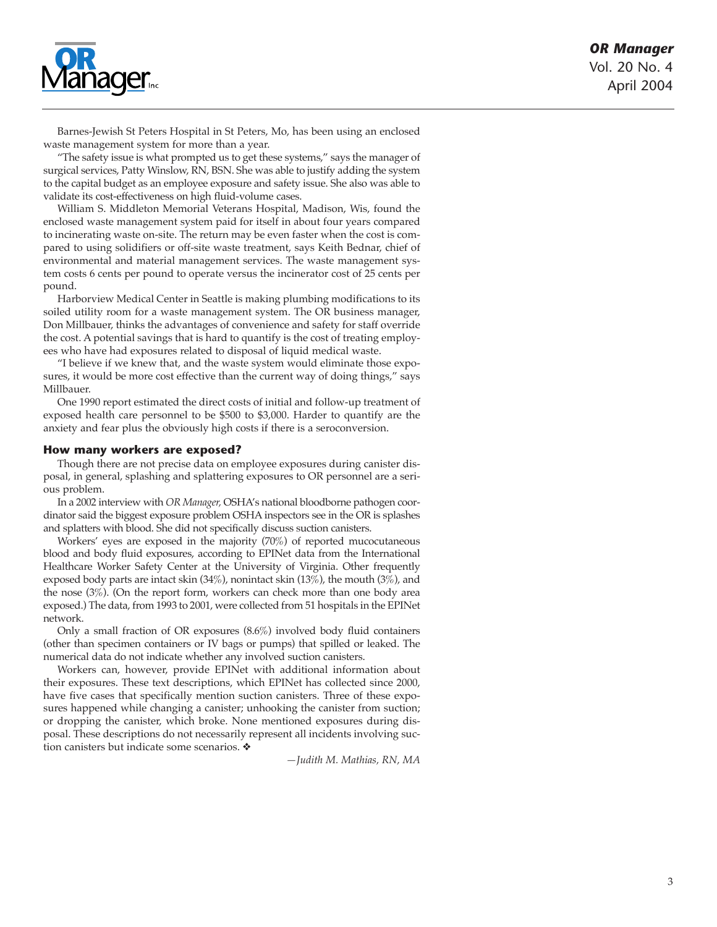

Barnes-Jewish St Peters Hospital in St Peters, Mo, has been using an enclosed waste management system for more than a year.

"The safety issue is what prompted us to get these systems," says the manager of surgical services, Patty Winslow, RN, BSN. She was able to justify adding the system to the capital budget as an employee exposure and safety issue. She also was able to validate its cost-effectiveness on high fluid-volume cases.

William S. Middleton Memorial Veterans Hospital, Madison, Wis, found the enclosed waste management system paid for itself in about four years compared to incinerating waste on-site. The return may be even faster when the cost is compared to using solidifiers or off-site waste treatment, says Keith Bednar, chief of environmental and material management services. The waste management system costs 6 cents per pound to operate versus the incinerator cost of 25 cents per pound.

Harborview Medical Center in Seattle is making plumbing modifications to its soiled utility room for a waste management system. The OR business manager, Don Millbauer, thinks the advantages of convenience and safety for staff override the cost. A potential savings that is hard to quantify is the cost of treating employees who have had exposures related to disposal of liquid medical waste.

"I believe if we knew that, and the waste system would eliminate those exposures, it would be more cost effective than the current way of doing things," says Millbauer.

One 1990 report estimated the direct costs of initial and follow-up treatment of exposed health care personnel to be \$500 to \$3,000. Harder to quantify are the anxiety and fear plus the obviously high costs if there is a seroconversion.

#### **How many workers are exposed?**

Though there are not precise data on employee exposures during canister disposal, in general, splashing and splattering exposures to OR personnel are a serious problem.

In a 2002 interview with *OR Manager,* OSHAís national bloodborne pathogen coordinator said the biggest exposure problem OSHA inspectors see in the OR is splashes and splatters with blood. She did not specifically discuss suction canisters.

Workers' eyes are exposed in the majority  $(70\%)$  of reported mucocutaneous blood and body fluid exposures, according to EPINet data from the International Healthcare Worker Safety Center at the University of Virginia. Other frequently exposed body parts are intact skin (34%), nonintact skin (13%), the mouth (3%), and the nose (3%). (On the report form, workers can check more than one body area exposed.) The data, from 1993 to 2001, were collected from 51 hospitals in the EPINet network.

Only a small fraction of OR exposures (8.6%) involved body fluid containers (other than specimen containers or IV bags or pumps) that spilled or leaked. The numerical data do not indicate whether any involved suction canisters.

Workers can, however, provide EPINet with additional information about their exposures. These text descriptions, which EPINet has collected since 2000, have five cases that specifically mention suction canisters. Three of these exposures happened while changing a canister; unhooking the canister from suction; or dropping the canister, which broke. None mentioned exposures during disposal. These descriptions do not necessarily represent all incidents involving suction canisters but indicate some scenarios. ❖

*óJudith M. Mathias, RN, MA*